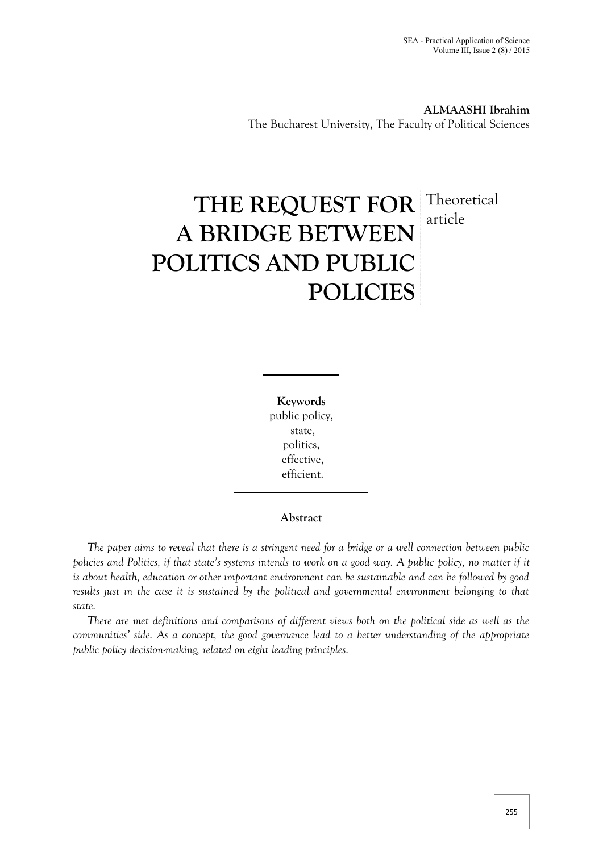**ALMAASHI Ibrahim** The Bucharest University, The Faculty of Political Sciences

# **THE REQUEST FOR A BRIDGE BETWEEN POLITICS AND PUBLIC POLICIES** Theoretical article

**Keywords** public policy, state, politics, effective, efficient.

## **Abstract**

*The paper aims to reveal that there is a stringent need for a bridge or a well connection between public policies and Politics, if that state's systems intends to work on a good way. A public policy, no matter if it is about health, education or other important environment can be sustainable and can be followed by good results just in the case it is sustained by the political and governmental environment belonging to that state.*

*There are met definitions and comparisons of different views both on the political side as well as the communities' side. As a concept, the good governance lead to a better understanding of the appropriate public policy decision-making, related on eight leading principles.*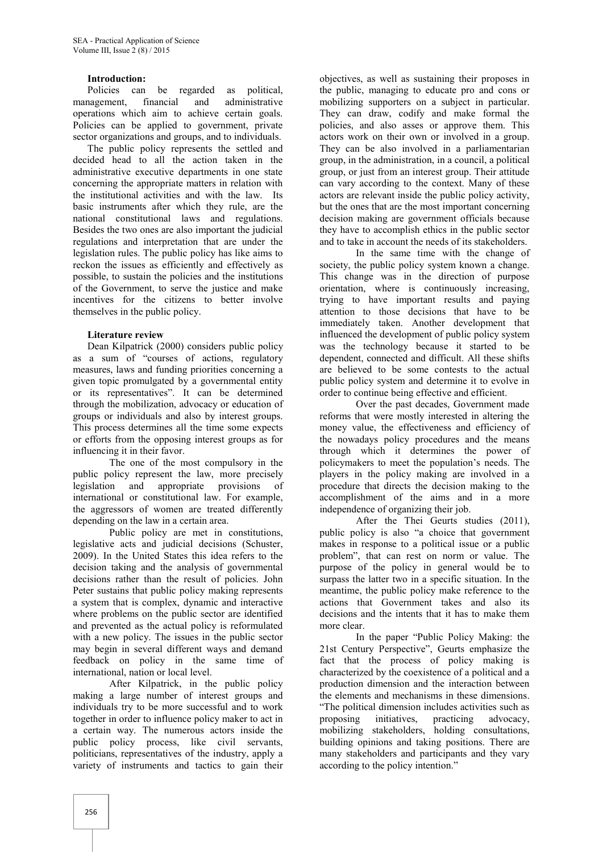## **Introduction:**

Policies can be regarded as political, management, financial and administrative operations which aim to achieve certain goals. Policies can be applied to government, private sector organizations and groups, and to individuals.

The public policy represents the settled and decided head to all the action taken in the administrative executive departments in one state concerning the appropriate matters in relation with the institutional activities and with the law. Its basic instruments after which they rule, are the national constitutional laws and regulations. Besides the two ones are also important the judicial regulations and interpretation that are under the legislation rules. The public policy has like aims to reckon the issues as efficiently and effectively as possible, to sustain the policies and the institutions of the Government, to serve the justice and make incentives for the citizens to better involve themselves in the public policy.

## **Literature review**

Dean Kilpatrick (2000) considers public policy as a sum of "courses of actions, regulatory measures, laws and funding priorities concerning a given topic promulgated by a governmental entity or its representatives". It can be determined through the mobilization, advocacy or education of groups or individuals and also by interest groups. This process determines all the time some expects or efforts from the opposing interest groups as for influencing it in their favor.

The one of the most compulsory in the public policy represent the law, more precisely legislation and appropriate provisions of international or constitutional law. For example, the aggressors of women are treated differently depending on the law in a certain area.

Public policy are met in constitutions, legislative acts and judicial decisions (Schuster, 2009). In the United States this idea refers to the decision taking and the analysis of governmental decisions rather than the result of policies. John Peter sustains that public policy making represents a system that is complex, dynamic and interactive where problems on the public sector are identified and prevented as the actual policy is reformulated with a new policy. The issues in the public sector may begin in several different ways and demand feedback on policy in the same time of international, nation or local level.

After Kilpatrick, in the public policy making a large number of interest groups and individuals try to be more successful and to work together in order to influence policy maker to act in a certain way. The numerous actors inside the public policy process, like civil servants, politicians, representatives of the industry, apply a variety of instruments and tactics to gain their

objectives, as well as sustaining their proposes in the public, managing to educate pro and cons or mobilizing supporters on a subject in particular. They can draw, codify and make formal the policies, and also asses or approve them. This actors work on their own or involved in a group. They can be also involved in a parliamentarian group, in the administration, in a council, a political group, or just from an interest group. Their attitude can vary according to the context. Many of these actors are relevant inside the public policy activity, but the ones that are the most important concerning decision making are government officials because they have to accomplish ethics in the public sector and to take in account the needs of its stakeholders.

In the same time with the change of society, the public policy system known a change. This change was in the direction of purpose orientation, where is continuously increasing, trying to have important results and paying attention to those decisions that have to be immediately taken. Another development that influenced the development of public policy system was the technology because it started to be dependent, connected and difficult. All these shifts are believed to be some contests to the actual public policy system and determine it to evolve in order to continue being effective and efficient.

Over the past decades, Government made reforms that were mostly interested in altering the money value, the effectiveness and efficiency of the nowadays policy procedures and the means through which it determines the power of policymakers to meet the population's needs. The players in the policy making are involved in a procedure that directs the decision making to the accomplishment of the aims and in a more independence of organizing their job.

After the Thei Geurts studies (2011), public policy is also "a choice that government makes in response to a political issue or a public problem", that can rest on norm or value. The purpose of the policy in general would be to surpass the latter two in a specific situation. In the meantime, the public policy make reference to the actions that Government takes and also its decisions and the intents that it has to make them more clear.

In the paper "Public Policy Making: the 21st Century Perspective", Geurts emphasize the fact that the process of policy making is characterized by the coexistence of a political and a production dimension and the interaction between the elements and mechanisms in these dimensions. "The political dimension includes activities such as initiatives, practicing advocacy, mobilizing stakeholders, holding consultations, building opinions and taking positions. There are many stakeholders and participants and they vary according to the policy intention."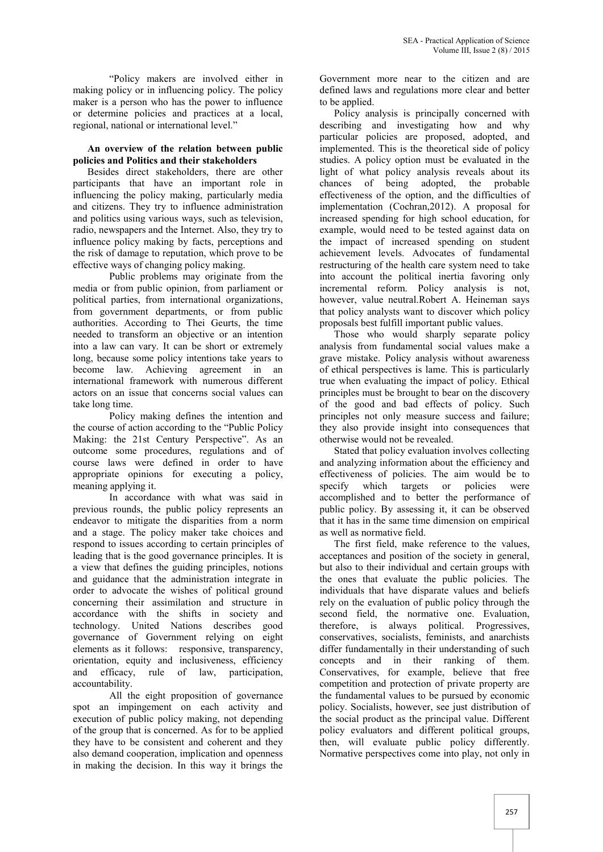"Policy makers are involved either in making policy or in influencing policy. The policy maker is a person who has the power to influence or determine policies and practices at a local, regional, national or international level."

## **An overview of the relation between public policies and Politics and their stakeholders**

Besides direct stakeholders, there are other participants that have an important role in influencing the policy making, particularly media and citizens. They try to influence administration and politics using various ways, such as television, radio, newspapers and the Internet. Also, they try to influence policy making by facts, perceptions and the risk of damage to reputation, which prove to be effective ways of changing policy making.

Public problems may originate from the media or from public opinion, from parliament or political parties, from international organizations, from government departments, or from public authorities. According to Thei Geurts, the time needed to transform an objective or an intention into a law can vary. It can be short or extremely long, because some policy intentions take years to become law. Achieving agreement in an international framework with numerous different actors on an issue that concerns social values can take long time.

Policy making defines the intention and the course of action according to the "Public Policy Making: the 21st Century Perspective". As an outcome some procedures, regulations and of course laws were defined in order to have appropriate opinions for executing a policy, meaning applying it.

In accordance with what was said in previous rounds, the public policy represents an endeavor to mitigate the disparities from a norm and a stage. The policy maker take choices and respond to issues according to certain principles of leading that is the good governance principles. It is a view that defines the guiding principles, notions and guidance that the administration integrate in order to advocate the wishes of political ground concerning their assimilation and structure in accordance with the shifts in society and technology. United Nations describes good governance of Government relying on eight elements as it follows: responsive, transparency, orientation, equity and inclusiveness, efficiency and efficacy, rule of law, participation, accountability.

All the eight proposition of governance spot an impingement on each activity and execution of public policy making, not depending of the group that is concerned. As for to be applied they have to be consistent and coherent and they also demand cooperation, implication and openness in making the decision. In this way it brings the

Government more near to the citizen and are defined laws and regulations more clear and better to be applied.

Policy analysis is principally concerned with describing and investigating how and why particular policies are proposed, adopted, and implemented. This is the theoretical side of policy studies. A policy option must be evaluated in the light of what policy analysis reveals about its chances of being adopted, the probable effectiveness of the option, and the difficulties of implementation (Cochran,2012). A proposal for increased spending for high school education, for example, would need to be tested against data on the impact of increased spending on student achievement levels. Advocates of fundamental restructuring of the health care system need to take into account the political inertia favoring only incremental reform. Policy analysis is not, however, value neutral.Robert A. Heineman says that policy analysts want to discover which policy proposals best fulfill important public values.

Those who would sharply separate policy analysis from fundamental social values make a grave mistake. Policy analysis without awareness of ethical perspectives is lame. This is particularly true when evaluating the impact of policy. Ethical principles must be brought to bear on the discovery of the good and bad effects of policy. Such principles not only measure success and failure; they also provide insight into consequences that otherwise would not be revealed.

Stated that policy evaluation involves collecting and analyzing information about the efficiency and effectiveness of policies. The aim would be to specify which targets or policies were accomplished and to better the performance of public policy. By assessing it, it can be observed that it has in the same time dimension on empirical as well as normative field.

The first field, make reference to the values, acceptances and position of the society in general, but also to their individual and certain groups with the ones that evaluate the public policies. The individuals that have disparate values and beliefs rely on the evaluation of public policy through the second field, the normative one. Evaluation, therefore, is always political. Progressives, conservatives, socialists, feminists, and anarchists differ fundamentally in their understanding of such concepts and in their ranking of them. Conservatives, for example, believe that free competition and protection of private property are the fundamental values to be pursued by economic policy. Socialists, however, see just distribution of the social product as the principal value. Different policy evaluators and different political groups, then, will evaluate public policy differently. Normative perspectives come into play, not only in